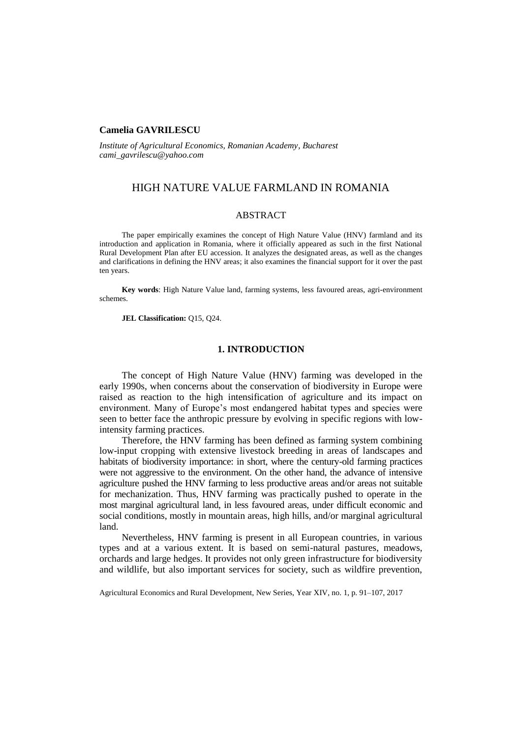## **Camelia GAVRILESCU**

*Institute of Agricultural Economics, Romanian Academy, Bucharest cami\_gavrilescu@yahoo.com*

# HIGH NATURE VALUE FARMLAND IN ROMANIA

### ABSTRACT

The paper empirically examines the concept of High Nature Value (HNV) farmland and its introduction and application in Romania, where it officially appeared as such in the first National Rural Development Plan after EU accession. It analyzes the designated areas, as well as the changes and clarifications in defining the HNV areas; it also examines the financial support for it over the past ten years.

**Key words**: High Nature Value land, farming systems, less favoured areas, agri-environment schemes.

**JEL Classification:** Q15, Q24.

### **1. INTRODUCTION**

The concept of High Nature Value (HNV) farming was developed in the early 1990s, when concerns about the conservation of biodiversity in Europe were raised as reaction to the high intensification of agriculture and its impact on environment. Many of Europe's most endangered habitat types and species were seen to better face the anthropic pressure by evolving in specific regions with lowintensity farming practices.

Therefore, the HNV farming has been defined as farming system combining low-input cropping with extensive livestock breeding in areas of landscapes and habitats of biodiversity importance: in short, where the century-old farming practices were not aggressive to the environment. On the other hand, the advance of intensive agriculture pushed the HNV farming to less productive areas and/or areas not suitable for mechanization. Thus, HNV farming was practically pushed to operate in the most marginal agricultural land, in less favoured areas, under difficult economic and social conditions, mostly in mountain areas, high hills, and/or marginal agricultural land.

Nevertheless, HNV farming is present in all European countries, in various types and at a various extent. It is based on semi-natural pastures, meadows, orchards and large hedges. It provides not only green infrastructure for biodiversity and wildlife, but also important services for society, such as wildfire prevention,

Agricultural Economics and Rural Development, New Series, Year XIV, no. 1, p. 91–107, 2017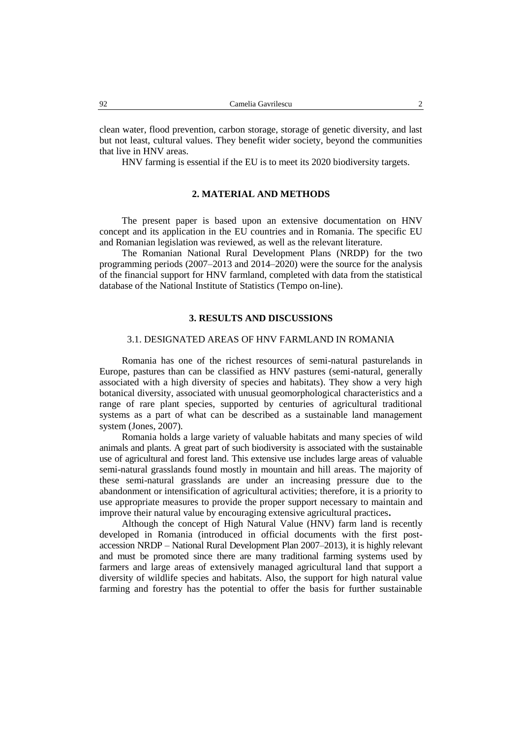clean water, flood prevention, carbon storage, storage of genetic diversity, and last but not least, cultural values. They benefit wider society, beyond the communities that live in HNV areas.

HNV farming is essential if the EU is to meet its 2020 biodiversity targets.

### **2. MATERIAL AND METHODS**

The present paper is based upon an extensive documentation on HNV concept and its application in the EU countries and in Romania. The specific EU and Romanian legislation was reviewed, as well as the relevant literature.

The Romanian National Rural Development Plans (NRDP) for the two programming periods (2007–2013 and 2014–2020) were the source for the analysis of the financial support for HNV farmland, completed with data from the statistical database of the National Institute of Statistics (Tempo on-line).

### **3. RESULTS AND DISCUSSIONS**

### 3.1. DESIGNATED AREAS OF HNV FARMLAND IN ROMANIA

Romania has one of the richest resources of semi-natural pasturelands in Europe, pastures than can be classified as HNV pastures (semi-natural, generally associated with a high diversity of species and habitats). They show a very high botanical diversity, associated with unusual geomorphological characteristics and a range of rare plant species, supported by centuries of agricultural traditional systems as a part of what can be described as a sustainable land management system (Jones, 2007).

Romania holds a large variety of valuable habitats and many species of wild animals and plants. A great part of such biodiversity is associated with the sustainable use of agricultural and forest land. This extensive use includes large areas of valuable semi-natural grasslands found mostly in mountain and hill areas. The majority of these semi-natural grasslands are under an increasing pressure due to the abandonment or intensification of agricultural activities; therefore, it is a priority to use appropriate measures to provide the proper support necessary to maintain and improve their natural value by encouraging extensive agricultural practices**.** 

Although the concept of High Natural Value (HNV) farm land is recently developed in Romania (introduced in official documents with the first postaccession NRDP – National Rural Development Plan 2007–2013), it is highly relevant and must be promoted since there are many traditional farming systems used by farmers and large areas of extensively managed agricultural land that support a diversity of wildlife species and habitats. Also, the support for high natural value farming and forestry has the potential to offer the basis for further sustainable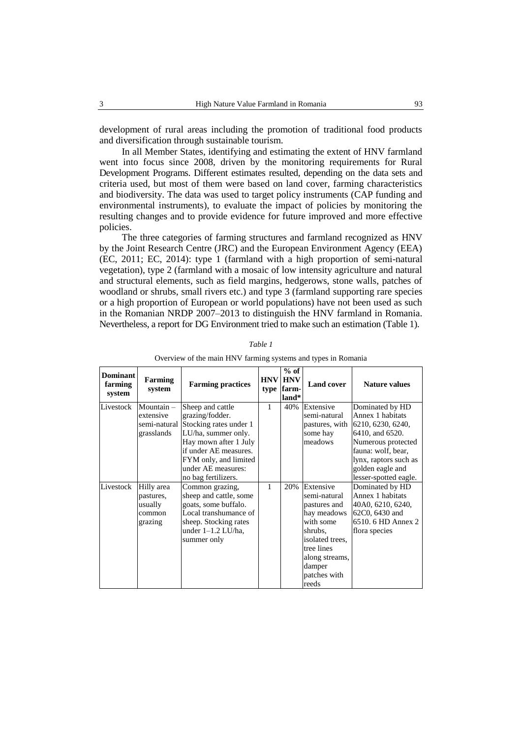development of rural areas including the promotion of traditional food products and diversification through sustainable tourism.

In all Member States, identifying and estimating the extent of HNV farmland went into focus since 2008, driven by the monitoring requirements for Rural Development Programs. Different estimates resulted, depending on the data sets and criteria used, but most of them were based on land cover, farming characteristics and biodiversity. The data was used to target policy instruments (CAP funding and environmental instruments), to evaluate the impact of policies by monitoring the resulting changes and to provide evidence for future improved and more effective policies.

The three categories of farming structures and farmland recognized as HNV by the Joint Research Centre (JRC) and the European Environment Agency (EEA) (EC, 2011; EC, 2014): type 1 (farmland with a high proportion of semi-natural vegetation), type 2 (farmland with a mosaic of low intensity agriculture and natural and structural elements, such as field margins, hedgerows, stone walls, patches of woodland or shrubs, small rivers etc.) and type 3 (farmland supporting rare species or a high proportion of European or world populations) have not been used as such in the Romanian NRDP 2007–2013 to distinguish the HNV farmland in Romania. Nevertheless, a report for DG Environment tried to make such an estimation (Table 1).

| <b>Dominant</b><br>farming<br>system | <b>Farming</b><br>system                                | <b>Farming practices</b>                                                                                                                                                                                                  | <b>HNV</b>   | $%$ of<br><b>HNV</b><br>type farm-<br>land* | <b>Land cover</b>                                                                                                                                                      | <b>Nature values</b>                                                                                                                                                                          |
|--------------------------------------|---------------------------------------------------------|---------------------------------------------------------------------------------------------------------------------------------------------------------------------------------------------------------------------------|--------------|---------------------------------------------|------------------------------------------------------------------------------------------------------------------------------------------------------------------------|-----------------------------------------------------------------------------------------------------------------------------------------------------------------------------------------------|
| Livestock                            | Mountain -<br>extensive<br>grasslands                   | Sheep and cattle<br>grazing/fodder.<br>semi-natural Stocking rates under 1<br>LU/ha, summer only.<br>Hay mown after 1 July<br>if under AE measures.<br>FYM only, and limited<br>under AE measures:<br>no bag fertilizers. | $\mathbf{1}$ | 40%                                         | Extensive<br>semi-natural<br>pastures, with<br>some hay<br>meadows                                                                                                     | Dominated by HD<br>Annex 1 habitats<br>6210, 6230, 6240,<br>6410, and 6520.<br>Numerous protected<br>fauna: wolf, bear,<br>lynx, raptors such as<br>golden eagle and<br>lesser-spotted eagle. |
| Livestock                            | Hilly area<br>pastures,<br>usually<br>common<br>grazing | Common grazing,<br>sheep and cattle, some<br>goats, some buffalo.<br>Local transhumance of<br>sheep. Stocking rates<br>under $1-1.2$ LU/ha,<br>summer only                                                                | 1            | 20%                                         | Extensive<br>semi-natural<br>pastures and<br>hay meadows<br>with some<br>shrubs,<br>isolated trees.<br>tree lines<br>along streams,<br>damper<br>patches with<br>reeds | Dominated by HD<br>Annex 1 habitats<br>40A0, 6210, 6240,<br>62C0, 6430 and<br>6510. 6 HD Annex 2<br>flora species                                                                             |

*Table 1*

| Overview of the main HNV farming systems and types in Romania |  |  |  |  |
|---------------------------------------------------------------|--|--|--|--|
|                                                               |  |  |  |  |
|                                                               |  |  |  |  |
|                                                               |  |  |  |  |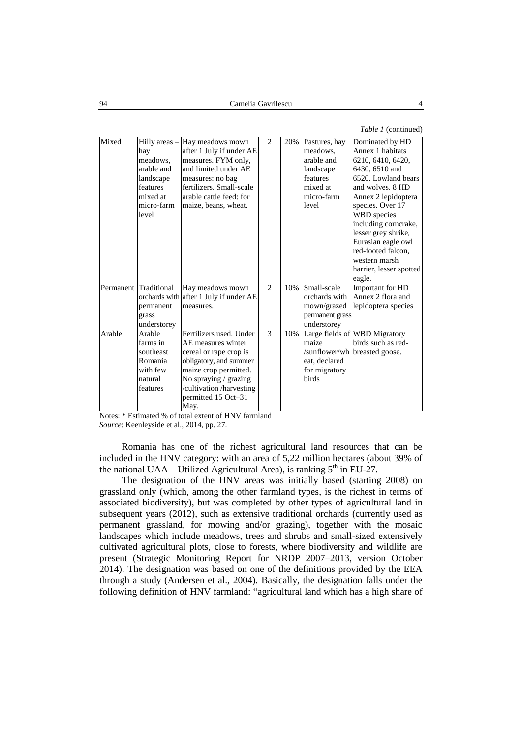*Table 1* (continued)

| Mixed  | Hilly areas -<br>hay<br>meadows,<br>arable and<br>landscape<br>features<br>mixed at<br>micro-farm<br>level | Hay meadows mown<br>after 1 July if under AE<br>measures. FYM only,<br>and limited under AE<br>measures: no bag<br>fertilizers. Small-scale<br>arable cattle feed: for<br>maize, beans, wheat.                 | $\mathcal{D}_{\mathcal{L}}$ | 20% | Pastures, hay<br>meadows.<br>arable and<br>landscape<br>features<br>mixed at<br>micro-farm<br>level | Dominated by HD<br>Annex 1 habitats<br>6210, 6410, 6420,<br>6430, 6510 and<br>6520. Lowland bears<br>and wolves, 8 HD<br>Annex 2 lepidoptera<br>species. Over 17<br><b>WBD</b> species<br>including corncrake,<br>lesser grey shrike,<br>Eurasian eagle owl<br>red-footed falcon.<br>western marsh<br>harrier, lesser spotted<br>eagle. |
|--------|------------------------------------------------------------------------------------------------------------|----------------------------------------------------------------------------------------------------------------------------------------------------------------------------------------------------------------|-----------------------------|-----|-----------------------------------------------------------------------------------------------------|-----------------------------------------------------------------------------------------------------------------------------------------------------------------------------------------------------------------------------------------------------------------------------------------------------------------------------------------|
|        | Permanent Traditional<br>permanent<br>grass<br>understorey                                                 | Hay meadows mown<br>orchards with after 1 July if under AE<br>measures.                                                                                                                                        | $\overline{2}$              | 10% | Small-scale<br>orchards with<br>mown/grazed<br>permanent grass<br>understorey                       | Important for HD<br>Annex 2 flora and<br>lepidoptera species                                                                                                                                                                                                                                                                            |
| Arable | Arable<br>farms in<br>southeast<br>Romania<br>with few<br>natural<br>features                              | Fertilizers used. Under<br>AE measures winter<br>cereal or rape crop is<br>obligatory, and summer<br>maize crop permitted.<br>No spraying / grazing<br>/cultivation /harvesting<br>permitted 15 Oct-31<br>May. | 3                           | 10% | maize<br>eat, declared<br>for migratory<br><b>birds</b>                                             | Large fields of WBD Migratory<br>birds such as red-<br>/sunflower/wh breasted goose.                                                                                                                                                                                                                                                    |

Notes: \* Estimated % of total extent of HNV farmland

*Source*: Keenleyside et al., 2014, pp. 27.

Romania has one of the richest agricultural land resources that can be included in the HNV category: with an area of 5,22 million hectares (about 39% of the national UAA – Utilized Agricultural Area), is ranking  $5<sup>th</sup>$  in EU-27.

The designation of the HNV areas was initially based (starting 2008) on grassland only (which, among the other farmland types, is the richest in terms of associated biodiversity), but was completed by other types of agricultural land in subsequent years (2012), such as extensive traditional orchards (currently used as permanent grassland, for mowing and/or grazing), together with the mosaic landscapes which include meadows, trees and shrubs and small-sized extensively cultivated agricultural plots, close to forests, where biodiversity and wildlife are present (Strategic Monitoring Report for NRDP 2007–2013, version October 2014). The designation was based on one of the definitions provided by the EEA through a study (Andersen et al., 2004). Basically, the designation falls under the following definition of HNV farmland: "agricultural land which has a high share of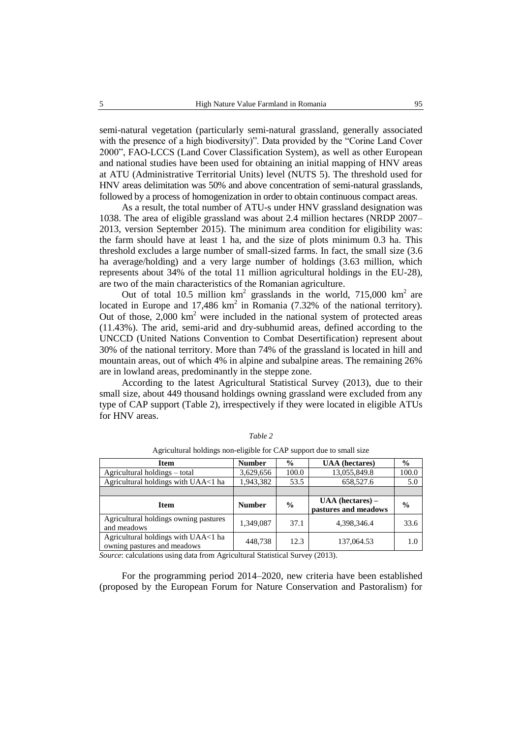semi-natural vegetation (particularly semi-natural grassland, generally associated with the presence of a high biodiversity)". Data provided by the "Corine Land Cover 2000", FAO-LCCS (Land Cover Classification System), as well as other European and national studies have been used for obtaining an initial mapping of HNV areas at ATU (Administrative Territorial Units) level (NUTS 5). The threshold used for HNV areas delimitation was 50% and above concentration of semi-natural grasslands, followed by a process of homogenization in order to obtain continuous compact areas.

As a result, the total number of ATU-s under HNV grassland designation was 1038. The area of eligible grassland was about 2.4 million hectares (NRDP 2007– 2013, version September 2015). The minimum area condition for eligibility was: the farm should have at least 1 ha, and the size of plots minimum 0.3 ha. This threshold excludes a large number of small-sized farms. In fact, the small size (3.6 ha average/holding) and a very large number of holdings (3.63 million, which represents about 34% of the total 11 million agricultural holdings in the EU-28), are two of the main characteristics of the Romanian agriculture.

Out of total 10.5 million  $km^2$  grasslands in the world, 715,000  $km^2$  are located in Europe and 17,486  $km^2$  in Romania (7.32% of the national territory). Out of those,  $2,000 \text{ km}^2$  were included in the national system of protected areas (11.43%). The arid, semi-arid and dry-subhumid areas, defined according to the UNCCD (United Nations Convention to Combat Desertification) represent about 30% of the national territory. More than 74% of the grassland is located in hill and mountain areas, out of which 4% in alpine and subalpine areas. The remaining 26% are in lowland areas, predominantly in the steppe zone.

According to the latest Agricultural Statistical Survey (2013), due to their small size, about 449 thousand holdings owning grassland were excluded from any type of CAP support (Table 2), irrespectively if they were located in eligible ATUs for HNV areas.

| <b>Item</b>                                                        | <b>Number</b> | $\frac{0}{0}$ | <b>UAA</b> (hectares)                      | $\frac{0}{0}$ |
|--------------------------------------------------------------------|---------------|---------------|--------------------------------------------|---------------|
| Agricultural holdings – total                                      | 3,629,656     | 100.0         | 13,055,849.8                               | 100.0         |
| Agricultural holdings with UAA<1 ha                                | 1,943,382     | 53.5          | 658,527.6                                  | 5.0           |
|                                                                    |               |               |                                            |               |
| <b>Item</b>                                                        | <b>Number</b> | $\frac{0}{0}$ | $UAA$ (hectares) –<br>pastures and meadows | $\frac{0}{0}$ |
| Agricultural holdings owning pastures<br>and meadows               | 1,349,087     | 37.1          | 4.398.346.4                                | 33.6          |
| Agricultural holdings with UAA<1 ha<br>owning pastures and meadows | 448,738       | 12.3          | 137,064.53                                 | 1.0           |

*Table 2*

*Source*: calculations using data from Agricultural Statistical Survey (2013).

For the programming period 2014–2020, new criteria have been established (proposed by the European Forum for Nature Conservation and Pastoralism) for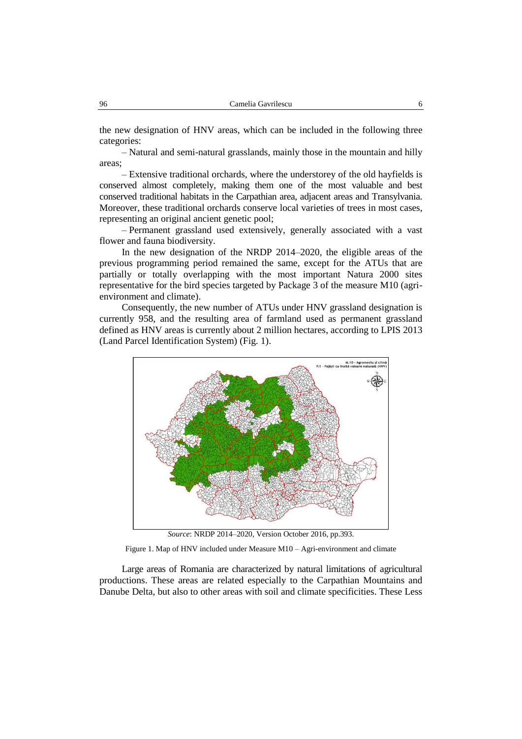the new designation of HNV areas, which can be included in the following three categories:

– Natural and semi-natural grasslands, mainly those in the mountain and hilly areas;

– Extensive traditional orchards, where the understorey of the old hayfields is conserved almost completely, making them one of the most valuable and best conserved traditional habitats in the Carpathian area, adjacent areas and Transylvania. Moreover, these traditional orchards conserve local varieties of trees in most cases, representing an original ancient genetic pool;

– Permanent grassland used extensively, generally associated with a vast flower and fauna biodiversity.

In the new designation of the NRDP 2014–2020, the eligible areas of the previous programming period remained the same, except for the ATUs that are partially or totally overlapping with the most important Natura 2000 sites representative for the bird species targeted by Package 3 of the measure M10 (agrienvironment and climate).

Consequently, the new number of ATUs under HNV grassland designation is currently 958, and the resulting area of farmland used as permanent grassland defined as HNV areas is currently about 2 million hectares, according to LPIS 2013 (Land Parcel Identification System) (Fig. 1).



*Source*: NRDP 2014–2020, Version October 2016, pp.393.

Figure 1. Map of HNV included under Measure M10 – Agri-environment and climate

Large areas of Romania are characterized by natural limitations of agricultural productions. These areas are related especially to the Carpathian Mountains and Danube Delta, but also to other areas with soil and climate specificities. These Less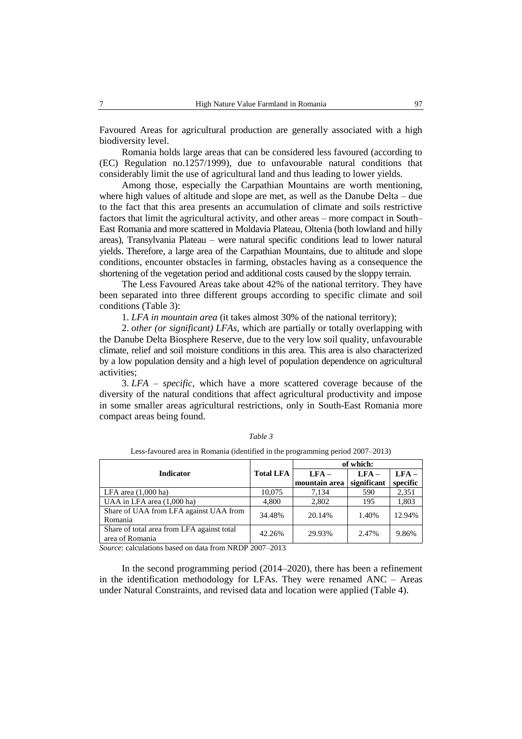Favoured Areas for agricultural production are generally associated with a high biodiversity level.

Romania holds large areas that can be considered less favoured (according to (EC) Regulation no.1257/1999), due to unfavourable natural conditions that considerably limit the use of agricultural land and thus leading to lower yields.

Among those, especially the Carpathian Mountains are worth mentioning, where high values of altitude and slope are met, as well as the Danube Delta – due to the fact that this area presents an accumulation of climate and soils restrictive factors that limit the agricultural activity, and other areas – more compact in South– East Romania and more scattered in Moldavia Plateau, Oltenia (both lowland and hilly areas), Transylvania Plateau – were natural specific conditions lead to lower natural yields. Therefore, a large area of the Carpathian Mountains, due to altitude and slope conditions, encounter obstacles in farming, obstacles having as a consequence the shortening of the vegetation period and additional costs caused by the sloppy terrain.

The Less Favoured Areas take about 42% of the national territory. They have been separated into three different groups according to specific climate and soil conditions (Table 3):

1. *LFA in mountain area* (it takes almost 30% of the national territory);

2. *other (or significant) LFAs*, which are partially or totally overlapping with the Danube Delta Biosphere Reserve, due to the very low soil quality, unfavourable climate, relief and soil moisture conditions in this area. This area is also characterized by a low population density and a high level of population dependence on agricultural activities;

3. *LFA – specific*, which have a more scattered coverage because of the diversity of the natural conditions that affect agricultural productivity and impose in some smaller areas agricultural restrictions, only in South-East Romania more compact areas being found.

|                                                               |                  | of which:                |                       |                     |  |  |
|---------------------------------------------------------------|------------------|--------------------------|-----------------------|---------------------|--|--|
| <b>Indicator</b>                                              | <b>Total LFA</b> | $LFA -$<br>mountain area | $LFA-$<br>significant | $LFA -$<br>specific |  |  |
| LFA area $(1,000$ ha)                                         | 10,075           | 7,134                    | 590                   | 2,351               |  |  |
| UAA in LFA area (1,000 ha)                                    | 4,800            | 2,802                    | 195                   | 1,803               |  |  |
| Share of UAA from LFA against UAA from<br>Romania             | 34.48%           | 20.14%                   | 1.40%                 | 12.94%              |  |  |
| Share of total area from LFA against total<br>area of Romania | 42.26%           | 29.93%                   | 2.47%                 | 9.86%               |  |  |

*Table 3*

Less-favoured area in Romania (identified in the programming period 2007–2013)

*Source*: calculations based on data from NRDP 2007–2013

In the second programming period (2014–2020), there has been a refinement in the identification methodology for LFAs. They were renamed  $\text{ANC}$  – Areas under Natural Constraints, and revised data and location were applied (Table 4).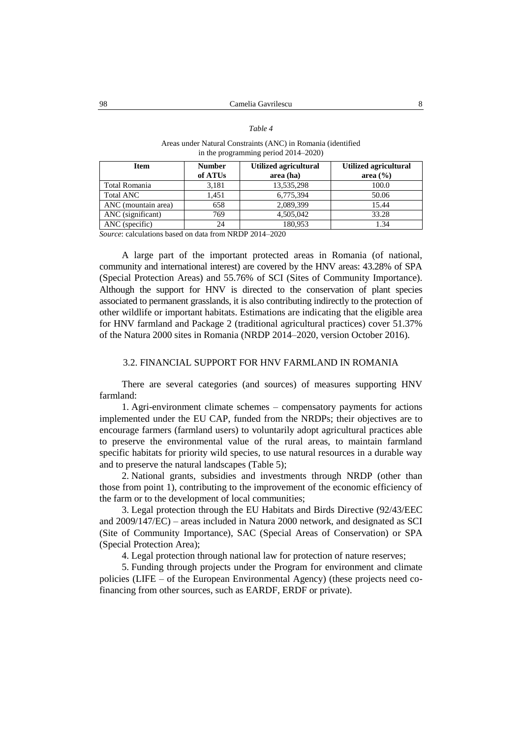#### *Table 4*

#### Areas under Natural Constraints (ANC) in Romania (identified in the programming period 2014–2020)

| <b>Item</b>         | <b>Number</b> | Utilized agricultural | <b>Utilized agricultural</b> |
|---------------------|---------------|-----------------------|------------------------------|
|                     | of ATUs       | area (ha)             | area $(\frac{6}{6})$         |
| Total Romania       | 3.181         | 13,535,298            | 100.0                        |
| <b>Total ANC</b>    | 1.451         | 6,775,394             | 50.06                        |
| ANC (mountain area) | 658           | 2,089,399             | 15.44                        |
| ANC (significant)   | 769           | 4,505,042             | 33.28                        |
| ANC (specific)      | 24            | 180.953               | 1.34                         |

*Source*: calculations based on data from NRDP 2014–2020

A large part of the important protected areas in Romania (of national, community and international interest) are covered by the HNV areas: 43.28% of SPA (Special Protection Areas) and 55.76% of SCI (Sites of Community Importance). Although the support for HNV is directed to the conservation of plant species associated to permanent grasslands, it is also contributing indirectly to the protection of other wildlife or important habitats. Estimations are indicating that the eligible area for HNV farmland and Package 2 (traditional agricultural practices) cover 51.37% of the Natura 2000 sites in Romania (NRDP 2014–2020, version October 2016).

### 3.2. FINANCIAL SUPPORT FOR HNV FARMLAND IN ROMANIA

There are several categories (and sources) of measures supporting HNV farmland:

1. Agri-environment climate schemes – compensatory payments for actions implemented under the EU CAP, funded from the NRDPs; their objectives are to encourage farmers (farmland users) to voluntarily adopt agricultural practices able to preserve the environmental value of the rural areas, to maintain farmland specific habitats for priority wild species, to use natural resources in a durable way and to preserve the natural landscapes (Table 5);

2. National grants, subsidies and investments through NRDP (other than those from point 1), contributing to the improvement of the economic efficiency of the farm or to the development of local communities;

3. Legal protection through the EU Habitats and Birds Directive (92/43/EEC and 2009/147/EC) – areas included in Natura 2000 network, and designated as SCI (Site of Community Importance), SAC (Special Areas of Conservation) or SPA (Special Protection Area);

4. Legal protection through national law for protection of nature reserves;

5. Funding through projects under the Program for environment and climate policies (LIFE – of the European Environmental Agency) (these projects need cofinancing from other sources, such as EARDF, ERDF or private).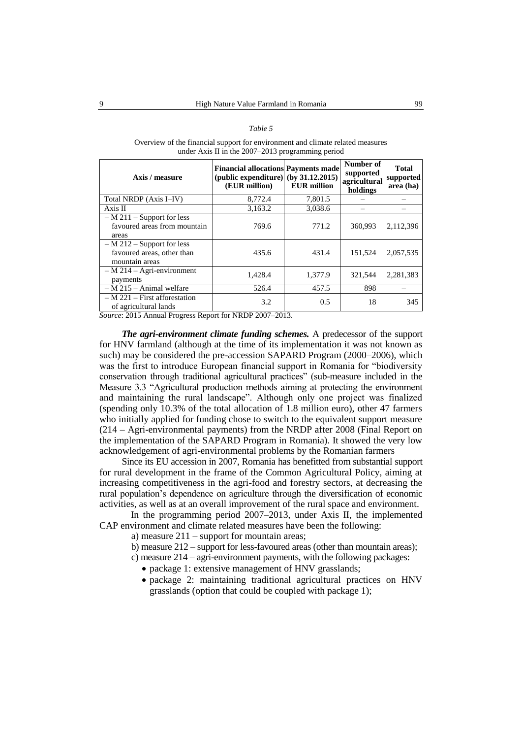#### *Table 5*

Overview of the financial support for environment and climate related measures under Axis II in the 2007–2013 programming period

| Axis / measure                                                               | <b>Financial allocations Payments made</b><br>(public expenditure) (by $31.12.2015$ )<br>(EUR million) | <b>EUR</b> million | Number of<br>supported<br>agricultural<br>holdings | <b>Total</b><br>supported<br>area (ha) |
|------------------------------------------------------------------------------|--------------------------------------------------------------------------------------------------------|--------------------|----------------------------------------------------|----------------------------------------|
| Total NRDP (Axis I-IV)                                                       | 8,772.4                                                                                                | 7,801.5            |                                                    |                                        |
| Axis II                                                                      | 3,163.2                                                                                                | 3,038.6            |                                                    |                                        |
| $- M 211 - Support for less$<br>favoured areas from mountain<br>areas        | 769.6                                                                                                  | 771.2              | 360,993                                            | 2,112,396                              |
| $- M 212 -$ Support for less<br>favoured areas, other than<br>mountain areas | 435.6                                                                                                  | 431.4              | 151.524                                            | 2,057,535                              |
| $- M 214 - Agri-environment$<br>payments                                     | 1,428.4                                                                                                | 1,377.9            | 321.544                                            | 2,281,383                              |
| $-M$ 215 – Animal welfare                                                    | 526.4                                                                                                  | 457.5              | 898                                                |                                        |
| $- M 221$ – First afforestation<br>of agricultural lands                     | 3.2                                                                                                    | 0.5                | 18                                                 | 345                                    |

*Source*: 2015 Annual Progress Report for NRDP 2007–2013.

*The agri-environment climate funding schemes.* A predecessor of the support for HNV farmland (although at the time of its implementation it was not known as such) may be considered the pre-accession SAPARD Program (2000–2006), which was the first to introduce European financial support in Romania for "biodiversity conservation through traditional agricultural practices" (sub-measure included in the Measure 3.3 "Agricultural production methods aiming at protecting the environment and maintaining the rural landscape". Although only one project was finalized (spending only 10.3% of the total allocation of 1.8 million euro), other 47 farmers who initially applied for funding chose to switch to the equivalent support measure (214 – Agri-environmental payments) from the NRDP after 2008 (Final Report on the implementation of the SAPARD Program in Romania). It showed the very low acknowledgement of agri-environmental problems by the Romanian farmers

Since its EU accession in 2007, Romania has benefitted from substantial support for rural development in the frame of the Common Agricultural Policy, aiming at increasing competitiveness in the agri-food and forestry sectors, at decreasing the rural population's dependence on agriculture through the diversification of economic activities, as well as at an overall improvement of the rural space and environment.

In the programming period 2007–2013, under Axis II, the implemented CAP environment and climate related measures have been the following:

a) measure 211 – support for mountain areas;

b) measure 212 – support for less-favoured areas (other than mountain areas);

c) measure 214 – agri-environment payments, with the following packages:

- package 1: extensive management of HNV grasslands;
- package 2: maintaining traditional agricultural practices on HNV grasslands (option that could be coupled with package 1);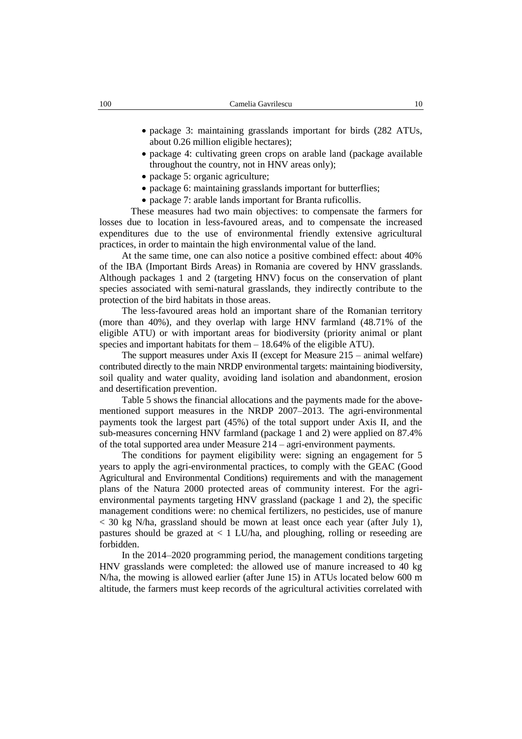- package 3: maintaining grasslands important for birds (282 ATUs, about 0.26 million eligible hectares);
- package 4: cultivating green crops on arable land (package available throughout the country, not in HNV areas only);
- package 5: organic agriculture;
- package 6: maintaining grasslands important for butterflies;
- package 7: arable lands important for Branta ruficollis.

These measures had two main objectives: to compensate the farmers for losses due to location in less-favoured areas, and to compensate the increased expenditures due to the use of environmental friendly extensive agricultural practices, in order to maintain the high environmental value of the land.

At the same time, one can also notice a positive combined effect: about 40% of the IBA (Important Birds Areas) in Romania are covered by HNV grasslands. Although packages 1 and 2 (targeting HNV) focus on the conservation of plant species associated with semi-natural grasslands, they indirectly contribute to the protection of the bird habitats in those areas.

The less-favoured areas hold an important share of the Romanian territory (more than 40%), and they overlap with large HNV farmland (48.71% of the eligible ATU) or with important areas for biodiversity (priority animal or plant species and important habitats for them – 18.64% of the eligible ATU).

The support measures under Axis II (except for Measure 215 – animal welfare) contributed directly to the main NRDP environmental targets: maintaining biodiversity, soil quality and water quality, avoiding land isolation and abandonment, erosion and desertification prevention.

Table 5 shows the financial allocations and the payments made for the abovementioned support measures in the NRDP 2007–2013. The agri-environmental payments took the largest part (45%) of the total support under Axis II, and the sub-measures concerning HNV farmland (package 1 and 2) were applied on 87.4% of the total supported area under Measure 214 – agri-environment payments.

The conditions for payment eligibility were: signing an engagement for 5 years to apply the agri-environmental practices, to comply with the GEAC (Good Agricultural and Environmental Conditions) requirements and with the management plans of the Natura 2000 protected areas of community interest. For the agrienvironmental payments targeting HNV grassland (package 1 and 2), the specific management conditions were: no chemical fertilizers, no pesticides, use of manure < 30 kg N/ha, grassland should be mown at least once each year (after July 1), pastures should be grazed at  $\langle 1 \text{ LU/ha} \rangle$ , and ploughing, rolling or reseeding are forbidden.

In the 2014–2020 programming period, the management conditions targeting HNV grasslands were completed: the allowed use of manure increased to 40 kg N/ha, the mowing is allowed earlier (after June 15) in ATUs located below 600 m altitude, the farmers must keep records of the agricultural activities correlated with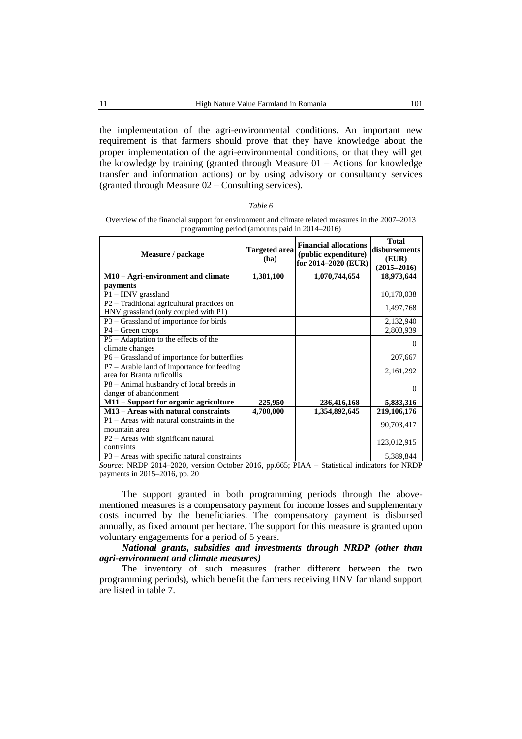the implementation of the agri-environmental conditions. An important new requirement is that farmers should prove that they have knowledge about the proper implementation of the agri-environmental conditions, or that they will get the knowledge by training (granted through Measure 01 – Actions for knowledge transfer and information actions) or by using advisory or consultancy services (granted through Measure 02 – Consulting services).

| Table 6 |  |
|---------|--|
|         |  |

Overview of the financial support for environment and climate related measures in the 2007–2013 programming period (amounts paid in 2014–2016)

| Measure / package                                                          | Targeted area<br>(ha) | <b>Financial allocations</b><br>(public expenditure)<br>for 2014-2020 (EUR) | <b>Total</b><br>disbursements<br>(EUR)<br>$(2015 - 2016)$ |
|----------------------------------------------------------------------------|-----------------------|-----------------------------------------------------------------------------|-----------------------------------------------------------|
| M10 - Agri-environment and climate                                         | 1,381,100             | 1,070,744,654                                                               | 18,973,644                                                |
| payments                                                                   |                       |                                                                             |                                                           |
| $P1 - HNV$ grassland                                                       |                       |                                                                             | 10,170,038                                                |
| $P2$ – Traditional agricultural practices on                               |                       |                                                                             | 1,497,768                                                 |
| HNV grassland (only coupled with P1)                                       |                       |                                                                             |                                                           |
| $P3 - Grassland$ of importance for birds                                   |                       |                                                                             | 2,132,940                                                 |
| $P4 - Green crops$                                                         |                       |                                                                             | 2,803,939                                                 |
| P5 - Adaptation to the effects of the                                      |                       |                                                                             | $\Omega$                                                  |
| climate changes                                                            |                       |                                                                             |                                                           |
| P6 – Grassland of importance for butterflies                               |                       |                                                                             | 207,667                                                   |
| $P7 - Arable$ land of importance for feeding<br>area for Branta ruficollis |                       |                                                                             | 2, 161, 292                                               |
| $P8 - Animal$ husbandry of local breeds in                                 |                       |                                                                             | $\Omega$                                                  |
| danger of abandonment                                                      |                       |                                                                             |                                                           |
| M11 - Support for organic agriculture                                      | 225,950               | 236,416,168                                                                 | 5,833,316                                                 |
| $M13 -$ Areas with natural constraints                                     | 4,700,000             | 1,354,892,645                                                               | 219,106,176                                               |
| $P1 -$ Areas with natural constraints in the                               |                       |                                                                             | 90,703,417                                                |
| mountain area                                                              |                       |                                                                             |                                                           |
| P2 - Areas with significant natural                                        |                       |                                                                             | 123,012,915                                               |
| contraints                                                                 |                       |                                                                             |                                                           |
| $P3$ – Areas with specific natural constraints                             |                       |                                                                             | 5,389,844                                                 |

*Source:* NRDP 2014–2020, version October 2016, pp.665; PIAA – Statistical indicators for NRDP payments in 2015–2016, pp. 20

The support granted in both programming periods through the abovementioned measures is a compensatory payment for income losses and supplementary costs incurred by the beneficiaries. The compensatory payment is disbursed annually, as fixed amount per hectare. The support for this measure is granted upon voluntary engagements for a period of 5 years.

*National grants, subsidies and investments through NRDP (other than agri-environment and climate measures)*

The inventory of such measures (rather different between the two programming periods), which benefit the farmers receiving HNV farmland support are listed in table 7.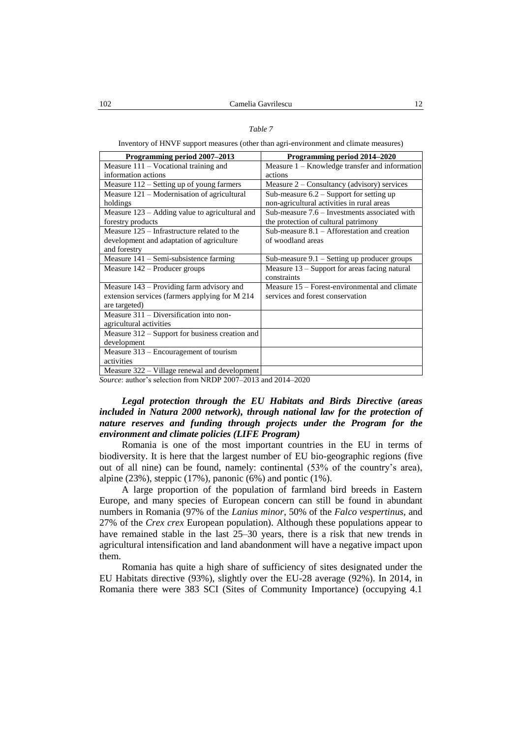### *Table 7*

Inventory of HNVF support measures (other than agri-environment and climate measures)

| Programming period 2007–2013                     | Programming period 2014–2020                     |
|--------------------------------------------------|--------------------------------------------------|
| Measure $111 -$ Vocational training and          | Measure $1 -$ Knowledge transfer and information |
| information actions                              | actions                                          |
| Measure 112 – Setting up of young farmers        | Measure $2$ – Consultancy (advisory) services    |
| Measure 121 – Modernisation of agricultural      | Sub-measure $6.2$ – Support for setting up       |
| holdings                                         | non-agricultural activities in rural areas       |
| Measure $123$ – Adding value to agricultural and | Sub-measure 7.6 - Investments associated with    |
| forestry products                                | the protection of cultural patrimony             |
| Measure 125 – Infrastructure related to the      | Sub-measure $8.1$ – Afforestation and creation   |
| development and adaptation of agriculture        | of woodland areas                                |
| and forestry                                     |                                                  |
| Measure $141$ – Semi-subsistence farming         | Sub-measure $9.1$ – Setting up producer groups   |
| Measure 142 – Producer groups                    | Measure 13 - Support for areas facing natural    |
|                                                  | constraints                                      |
| Measure $143$ – Providing farm advisory and      | Measure 15 – Forest-environmental and climate    |
| extension services (farmers applying for M 214   | services and forest conservation                 |
| are targeted)                                    |                                                  |
| Measure $311 -$ Diversification into non-        |                                                  |
| agricultural activities                          |                                                  |
| Measure 312 – Support for business creation and  |                                                  |
| development                                      |                                                  |
| Measure 313 - Encouragement of tourism           |                                                  |
| activities                                       |                                                  |
| Measure 322 – Village renewal and development    |                                                  |

*Source*: author's selection from NRDP 2007–2013 and 2014–2020

## *Legal protection through the EU Habitats and Birds Directive (areas*  included in Natura 2000 network), through national law for the protection of *nature reserves and funding through projects under the Program for the environment and climate policies (LIFE Program)*

Romania is one of the most important countries in the EU in terms of biodiversity. It is here that the largest number of EU bio-geographic regions (five out of all nine) can be found, namely: continental (53% of the country's area), alpine  $(23%)$ , steppic  $(17%)$ , panonic  $(6%)$  and pontic  $(1%)$ .

A large proportion of the population of farmland bird breeds in Eastern Europe, and many species of European concern can still be found in abundant numbers in Romania (97% of the *Lanius minor*, 50% of the *Falco vespertinus,* and 27% of the *Crex crex* European population). Although these populations appear to have remained stable in the last 25–30 years, there is a risk that new trends in agricultural intensification and land abandonment will have a negative impact upon them.

Romania has quite a high share of sufficiency of sites designated under the EU Habitats directive (93%), slightly over the EU-28 average (92%). In 2014, in Romania there were 383 SCI (Sites of Community Importance) (occupying 4.1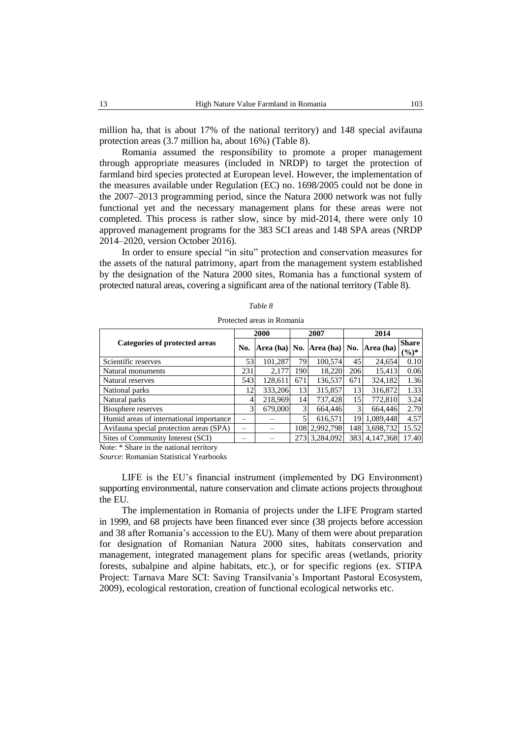million ha, that is about 17% of the national territory) and 148 special avifauna protection areas (3.7 million ha, about 16%) (Table 8).

Romania assumed the responsibility to promote a proper management through appropriate measures (included in NRDP) to target the protection of farmland bird species protected at European level. However, the implementation of the measures available under Regulation (EC) no. 1698/2005 could not be done in the 2007–2013 programming period, since the Natura 2000 network was not fully functional yet and the necessary management plans for these areas were not completed. This process is rather slow, since by mid-2014, there were only 10 approved management programs for the 383 SCI areas and 148 SPA areas (NRDP 2014–2020, version October 2016).

In order to ensure special "in situ" protection and conservation measures for the assets of the natural patrimony, apart from the management system established by the designation of the Natura 2000 sites, Romania has a functional system of protected natural areas, covering a significant area of the national territory (Table 8).

|                                         | 2000 |         | 2007 |                                     | 2014 |           |                          |
|-----------------------------------------|------|---------|------|-------------------------------------|------|-----------|--------------------------|
| Categories of protected areas           |      |         |      | $ Area (ha) $ No. $ Area (ha) $ No. |      | Area (ha) | <b>Share</b><br>$(\%)^*$ |
| Scientific reserves                     | 53   | 101.287 | 79   | 100.574                             | 45   | 24,654    | 0.10                     |
| Natural monuments                       | 231  | 2,177   | 190  | 18,220                              | 206  | 15,413    | 0.06                     |
| Natural reserves                        | 543  | 128,611 | 671  | 136,537                             | 671  | 324,182   | 1.36                     |
| National parks                          | 12   | 333,206 | 13   | 315,857                             | 13   | 316,872   | 1.33                     |
| Natural parks                           | 4    | 218,969 | 14   | 737,428                             | 15   | 772,810   | 3.24                     |
| Biosphere reserves                      | 3    | 679,000 | 3    | 664,446                             | 3    | 664,446   | 2.79                     |
| Humid areas of international importance |      |         |      | 616,571                             | 19   | 1,089,448 | 4.57                     |
| Avifauna special protection areas (SPA) |      |         | 108  | 2,992,798                           | 148  | 3,698,732 | 15.52                    |
| Sites of Community Interest (SCI)       |      |         |      | 273 3,284,092                       | 383  | 4,147,368 | 17.40                    |
| Note: * Share in the national territory |      |         |      |                                     |      |           |                          |

| Table 8 |  |  |  |  |  |  |
|---------|--|--|--|--|--|--|
|---------|--|--|--|--|--|--|

Protected areas in Romania

*Source*: Romanian Statistical Yearbooks

LIFE is the EU's financial instrument (implemented by DG Environment) supporting environmental, nature conservation and climate actions projects throughout the EU.

The implementation in Romania of projects under the LIFE Program started in 1999, and 68 projects have been financed ever since (38 projects before accession and 38 after Romania's accession to the EU). Many of them were about preparation for designation of Romanian Natura 2000 sites, habitats conservation and management, integrated management plans for specific areas (wetlands, priority forests, subalpine and alpine habitats, etc.), or for specific regions (ex. STIPA Project: Tarnava Mare SCI: Saving Transilvania's Important Pastoral Ecosystem, 2009), ecological restoration, creation of functional ecological networks etc.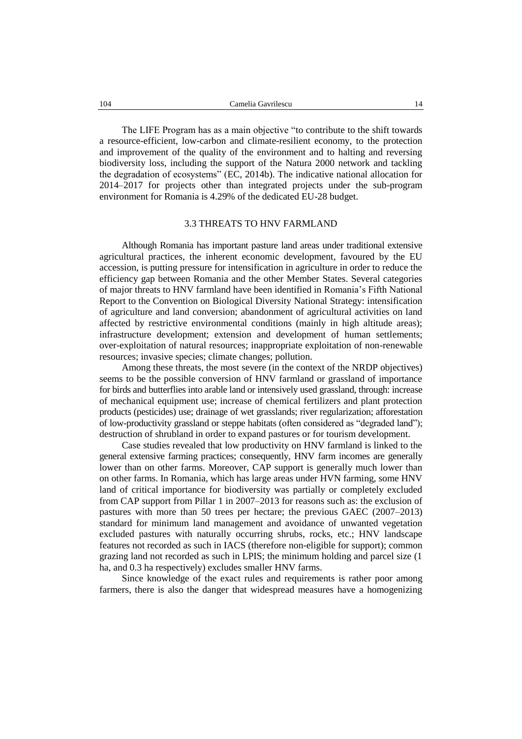The LIFE Program has as a main objective "to contribute to the shift towards a resource-efficient, low-carbon and climate-resilient economy, to the protection and improvement of the quality of the environment and to halting and reversing biodiversity loss, including the support of the Natura 2000 network and tackling the degradation of ecosystems" (EC, 2014b). The indicative national allocation for 2014–2017 for projects other than integrated projects under the sub-program environment for Romania is 4.29% of the dedicated EU-28 budget.

#### 3.3 THREATS TO HNV FARMLAND

Although Romania has important pasture land areas under traditional extensive agricultural practices, the inherent economic development, favoured by the EU accession, is putting pressure for intensification in agriculture in order to reduce the efficiency gap between Romania and the other Member States. Several categories of major threats to HNV farmland have been identified in Romania's Fifth National Report to the Convention on Biological Diversity National Strategy: intensification of agriculture and land conversion; abandonment of agricultural activities on land affected by restrictive environmental conditions (mainly in high altitude areas); infrastructure development; extension and development of human settlements; over-exploitation of natural resources; inappropriate exploitation of non-renewable resources; invasive species; climate changes; pollution.

Among these threats, the most severe (in the context of the NRDP objectives) seems to be the possible conversion of HNV farmland or grassland of importance for birds and butterflies into arable land or intensively used grassland, through: increase of mechanical equipment use; increase of chemical fertilizers and plant protection products (pesticides) use; drainage of wet grasslands; river regularization; afforestation of low-productivity grassland or steppe habitats (often considered as "degraded land"); destruction of shrubland in order to expand pastures or for tourism development.

Case studies revealed that low productivity on HNV farmland is linked to the general extensive farming practices; consequently, HNV farm incomes are generally lower than on other farms. Moreover, CAP support is generally much lower than on other farms. In Romania, which has large areas under HVN farming, some HNV land of critical importance for biodiversity was partially or completely excluded from CAP support from Pillar 1 in 2007–2013 for reasons such as: the exclusion of pastures with more than 50 trees per hectare; the previous GAEC (2007–2013) standard for minimum land management and avoidance of unwanted vegetation excluded pastures with naturally occurring shrubs, rocks, etc.; HNV landscape features not recorded as such in IACS (therefore non-eligible for support); common grazing land not recorded as such in LPIS; the minimum holding and parcel size (1 ha, and 0.3 ha respectively) excludes smaller HNV farms.

Since knowledge of the exact rules and requirements is rather poor among farmers, there is also the danger that widespread measures have a homogenizing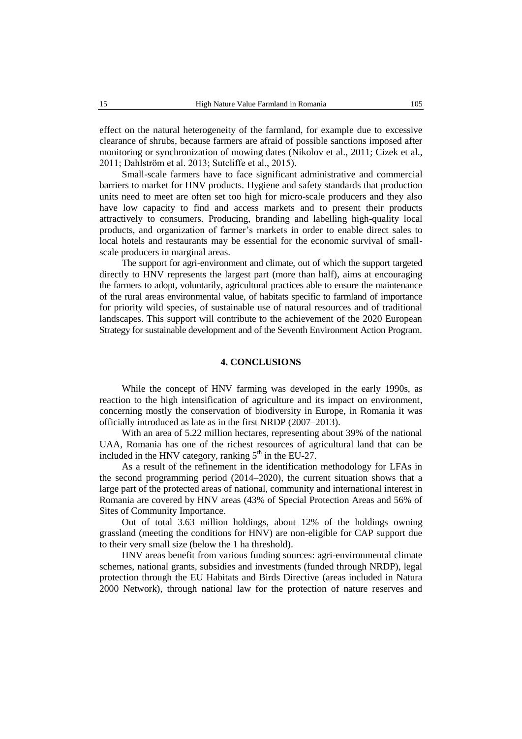effect on the natural heterogeneity of the farmland, for example due to excessive clearance of shrubs, because farmers are afraid of possible sanctions imposed after monitoring or synchronization of mowing dates (Nikolov et al., 2011; Cizek et al., 2011; Dahlström et al. 2013; Sutcliffe et al., 2015).

Small-scale farmers have to face significant administrative and commercial barriers to market for HNV products. Hygiene and safety standards that production units need to meet are often set too high for micro-scale producers and they also have low capacity to find and access markets and to present their products attractively to consumers. Producing, branding and labelling high-quality local products, and organization of farmer's markets in order to enable direct sales to local hotels and restaurants may be essential for the economic survival of smallscale producers in marginal areas.

The support for agri-environment and climate, out of which the support targeted directly to HNV represents the largest part (more than half), aims at encouraging the farmers to adopt, voluntarily, agricultural practices able to ensure the maintenance of the rural areas environmental value, of habitats specific to farmland of importance for priority wild species, of sustainable use of natural resources and of traditional landscapes. This support will contribute to the achievement of the 2020 European Strategy for sustainable development and of the Seventh Environment Action Program.

### **4. CONCLUSIONS**

While the concept of HNV farming was developed in the early 1990s, as reaction to the high intensification of agriculture and its impact on environment, concerning mostly the conservation of biodiversity in Europe, in Romania it was officially introduced as late as in the first NRDP (2007–2013).

With an area of 5.22 million hectares, representing about 39% of the national UAA, Romania has one of the richest resources of agricultural land that can be included in the HNV category, ranking  $5<sup>th</sup>$  in the EU-27.

As a result of the refinement in the identification methodology for LFAs in the second programming period (2014–2020), the current situation shows that a large part of the protected areas of national, community and international interest in Romania are covered by HNV areas (43% of Special Protection Areas and 56% of Sites of Community Importance.

Out of total 3.63 million holdings, about 12% of the holdings owning grassland (meeting the conditions for HNV) are non-eligible for CAP support due to their very small size (below the 1 ha threshold).

HNV areas benefit from various funding sources: agri-environmental climate schemes, national grants, subsidies and investments (funded through NRDP), legal protection through the EU Habitats and Birds Directive (areas included in Natura 2000 Network), through national law for the protection of nature reserves and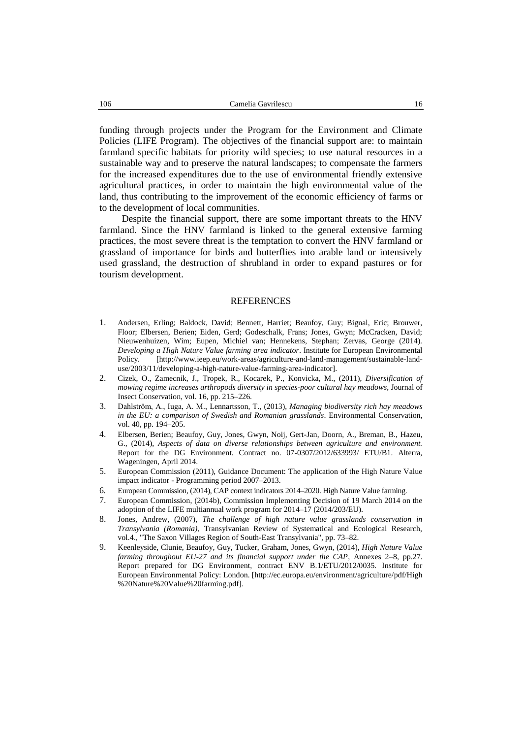funding through projects under the Program for the Environment and Climate Policies (LIFE Program). The objectives of the financial support are: to maintain farmland specific habitats for priority wild species; to use natural resources in a sustainable way and to preserve the natural landscapes; to compensate the farmers for the increased expenditures due to the use of environmental friendly extensive agricultural practices, in order to maintain the high environmental value of the land, thus contributing to the improvement of the economic efficiency of farms or to the development of local communities.

Despite the financial support, there are some important threats to the HNV farmland. Since the HNV farmland is linked to the general extensive farming practices, the most severe threat is the temptation to convert the HNV farmland or grassland of importance for birds and butterflies into arable land or intensively used grassland, the destruction of shrubland in order to expand pastures or for tourism development.

#### REFERENCES

- 1. Andersen, Erling; Baldock, David; Bennett, Harriet; Beaufoy, Guy; Bignal, Eric; Brouwer, Floor; Elbersen, Berien; Eiden, Gerd; Godeschalk, Frans; Jones, Gwyn; McCracken, David; Nieuwenhuizen, Wim; Eupen, Michiel van; Hennekens, Stephan; Zervas, George (2014). *Developing a High Nature Value farming area indicator*. Institute for European Environmental Policy. [http://www.ieep.eu/work-areas/agriculture-and-land-management/sustainable-landuse/2003/11/developing-a-high-nature-value-farming-area-indicator].
- 2. Cizek, O., Zamecnik, J., Tropek, R., Kocarek, P., Konvicka, M., (2011), *Diversification of mowing regime increases arthropods diversity in species-poor cultural hay meadows*, Journal of Insect Conservation, vol. 16, pp. 215–226.
- 3. Dahlström, A., Iuga, A. M., Lennartsson, T., (2013), *Managing biodiversity rich hay meadows in the EU: a comparison of Swedish and Romanian grasslands*. Environmental Conservation, vol. 40, pp. 194–205.
- 4. Elbersen, Berien; Beaufoy, Guy, Jones, Gwyn, Noij, Gert-Jan, Doorn, A., Breman, B., Hazeu, G., (2014), *Aspects of data on diverse relationships between agriculture and environment.* Report for the DG Environment. Contract no. 07-0307/2012/633993/ ETU/B1. Alterra, Wageningen, April 2014.
- 5. European Commission (2011), Guidance Document: The application of the High Nature Value impact indicator - Programming period 2007–2013.
- 6. European Commission, (2014), CAP context indicators 2014–2020. High Nature Value farming.
- 7. European Commission, (2014b), Commission Implementing Decision of 19 March 2014 on the adoption of the LIFE multiannual work program for 2014–17 (2014/203/EU).
- 8. Jones, Andrew, (2007), *The challenge of high nature value grasslands conservation in Transylvania (Romania)*, Transylvanian Review of Systematical and Ecological Research, vol.4., "The Saxon Villages Region of South-East Transylvania", pp. 73–82.
- 9. Keenleyside, Clunie, Beaufoy, Guy, Tucker, Graham, Jones, Gwyn, (2014), *High Nature Value farming throughout EU-27 and its financial support under the CAP*, Annexes 2–8, pp.27. Report prepared for DG Environment, contract ENV B.1/ETU/2012/0035. Institute for European Environmental Policy: London. [http://ec.europa.eu/environment/agriculture/pdf/High %20Nature%20Value%20farming.pdf].